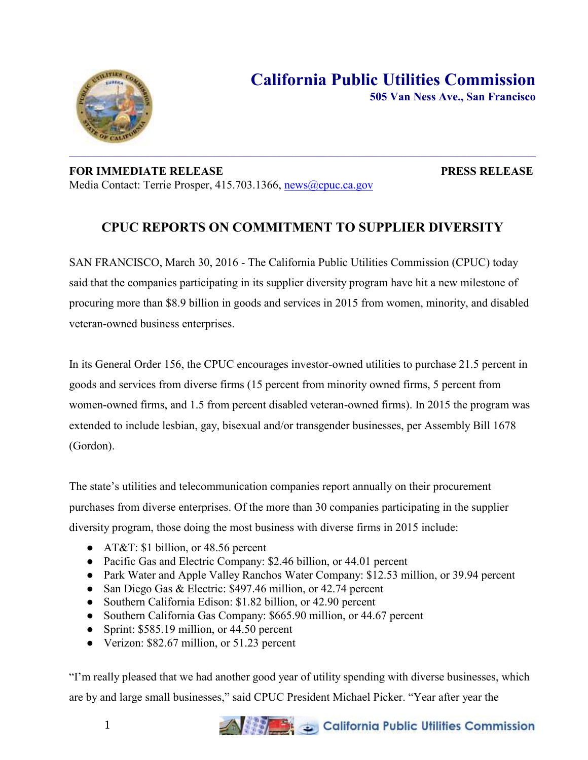

## **FOR IMMEDIATE RELEASE PRESS RELEASE**  Media Contact: Terrie Prosper, 415.703.1366, [news@cpuc.ca.gov](mailto:news@cpuc.ca.gov)

## **CPUC REPORTS ON COMMITMENT TO SUPPLIER DIVERSITY**

SAN FRANCISCO, March 30, 2016 - The California Public Utilities Commission (CPUC) today said that the companies participating in its supplier diversity program have hit a new milestone of procuring more than \$8.9 billion in goods and services in 2015 from women, minority, and disabled veteran-owned business enterprises.

In its General Order 156, the CPUC encourages investor-owned utilities to purchase 21.5 percent in goods and services from diverse firms (15 percent from minority owned firms, 5 percent from women-owned firms, and 1.5 from percent disabled veteran-owned firms). In 2015 the program was extended to include lesbian, gay, bisexual and/or transgender businesses, per Assembly Bill 1678 (Gordon).

The state's utilities and telecommunication companies report annually on their procurement purchases from diverse enterprises. Of the more than 30 companies participating in the supplier diversity program, those doing the most business with diverse firms in 2015 include:

- AT&T: \$1 billion, or 48.56 percent
- Pacific Gas and Electric Company: \$2.46 billion, or 44.01 percent
- Park Water and Apple Valley Ranchos Water Company: \$12.53 million, or 39.94 percent
- San Diego Gas & Electric: \$497.46 million, or 42.74 percent
- Southern California Edison: \$1.82 billion, or 42.90 percent
- Southern California Gas Company: \$665.90 million, or 44.67 percent
- Sprint: \$585.19 million, or 44.50 percent
- Verizon: \$82.67 million, or 51.23 percent

"I'm really pleased that we had another good year of utility spending with diverse businesses, which are by and large small businesses," said CPUC President Michael Picker. "Year after year the